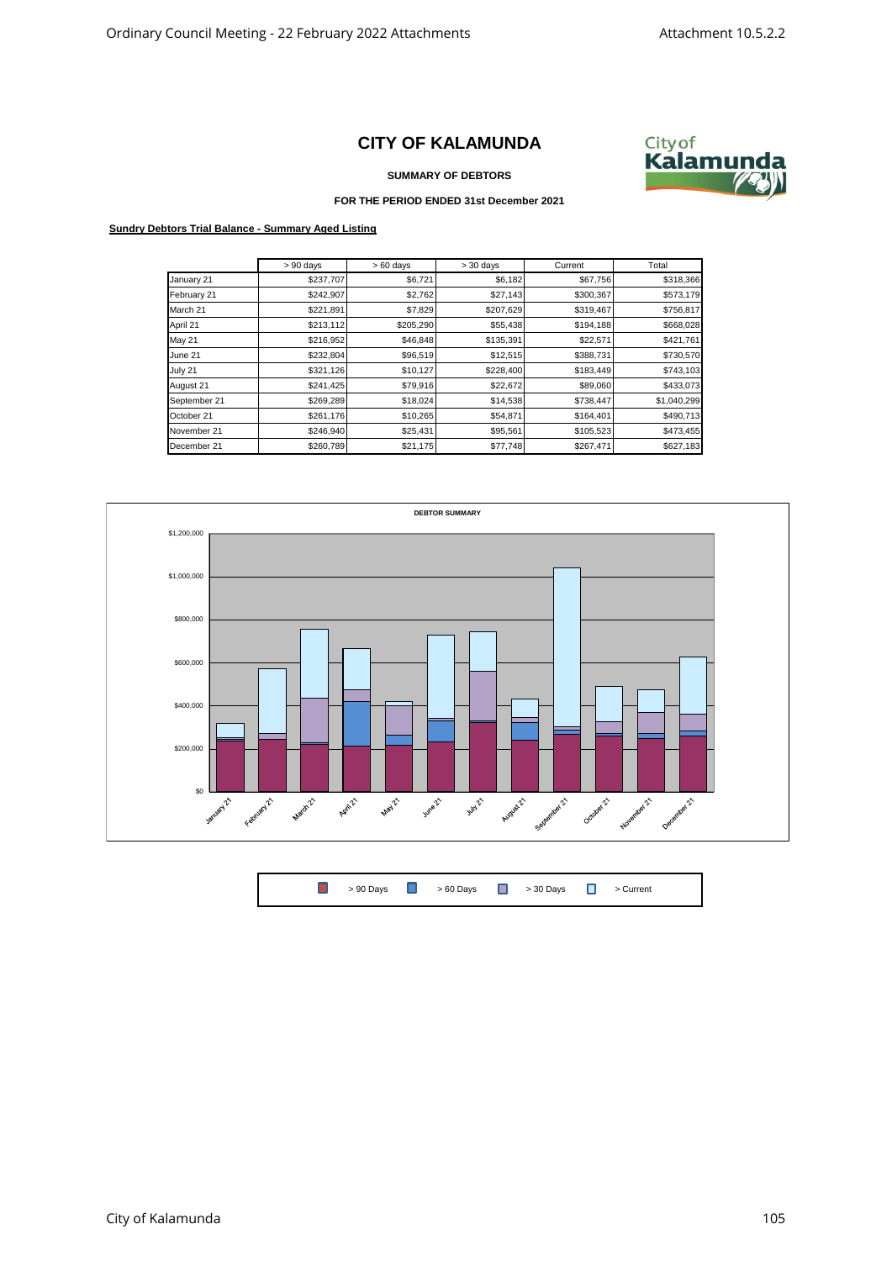## **CITY OF KALAMUNDA**



**SUMMARY OF DEBTORS**

## **FOR THE PERIOD ENDED 31st December 2021**

## **Sundry Debtors Trial Balance - Summary Aged Listing**

|               | $> 90$ days | $>60$ days | $> 30$ days | Current   | Total       |
|---------------|-------------|------------|-------------|-----------|-------------|
| January 21    | \$237,707   | \$6,721    | \$6,182     | \$67,756  | \$318,366   |
| February 21   | \$242,907   | \$2,762    | \$27,143    | \$300,367 | \$573,179   |
| March 21      | \$221,891   | \$7,829    | \$207,629   | \$319,467 | \$756,817   |
| April 21      | \$213,112   | \$205,290  | \$55,438    | \$194,188 | \$668,028   |
| <b>May 21</b> | \$216,952   | \$46,848   | \$135,391   | \$22,571  | \$421,761   |
| June 21       | \$232,804   | \$96,519   | \$12,515    | \$388,731 | \$730,570   |
| July 21       | \$321,126   | \$10,127   | \$228,400   | \$183,449 | \$743,103   |
| August 21     | \$241,425   | \$79,916   | \$22,672    | \$89,060  | \$433,073   |
| September 21  | \$269,289   | \$18,024   | \$14,538    | \$738,447 | \$1,040,299 |
| October 21    | \$261,176   | \$10,265   | \$54,871    | \$164,401 | \$490,713   |
| November 21   | \$246,940   | \$25,431   | \$95,561    | \$105,523 | \$473,455   |
| December 21   | \$260,789   | \$21,175   | \$77,748    | \$267,471 | \$627,183   |



 $\Box$ > 90 Days  $\begin{array}{ccc} \hline \end{array}$  > 60 Days  $\begin{array}{ccc} \hline \end{array}$  > 30 Days  $\begin{array}{ccc} \hline \end{array}$  > Current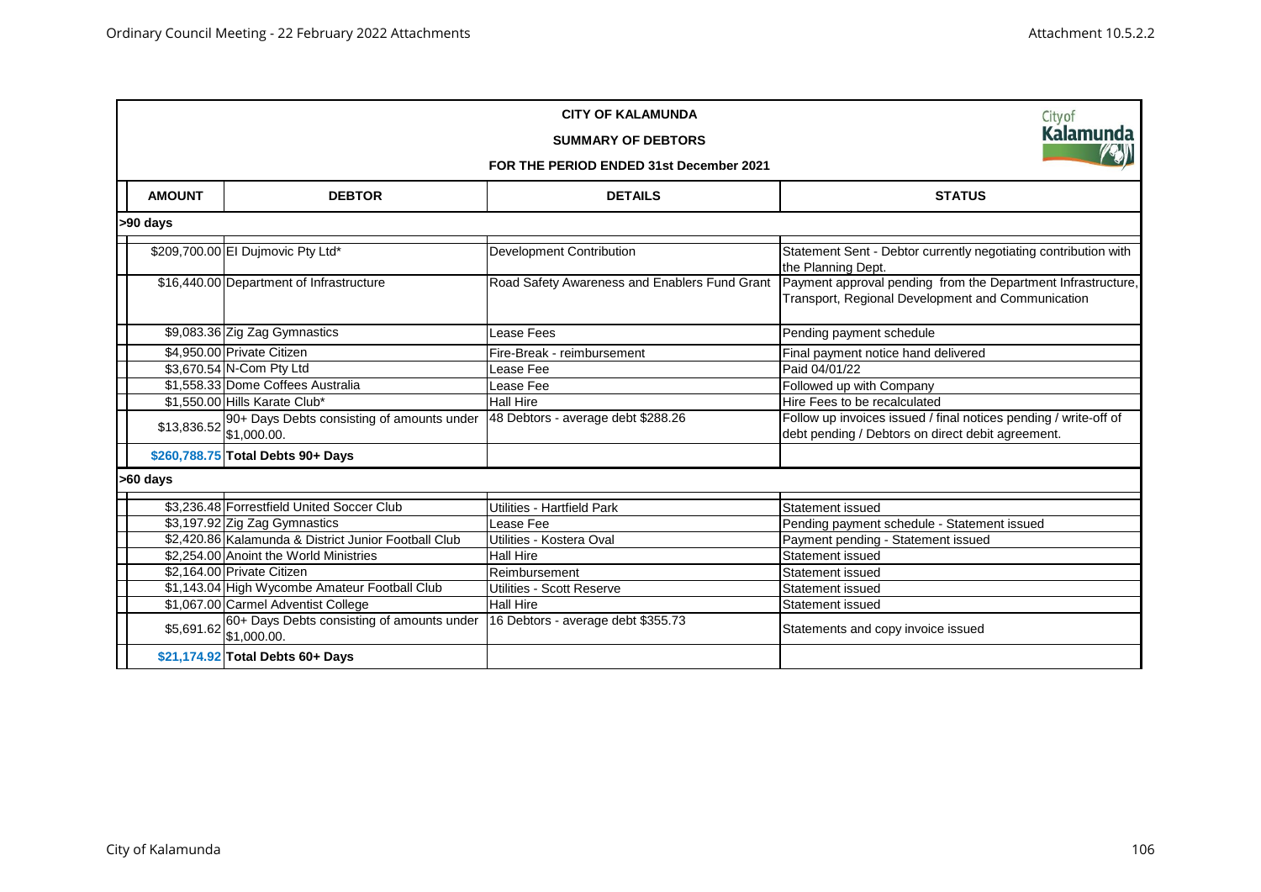| <b>CITY OF KALAMUNDA</b><br><b>SUMMARY OF DEBTORS</b><br>FOR THE PERIOD ENDED 31st December 2021 |                                                                       |                                               |                                                                                                                       |  |  |  |
|--------------------------------------------------------------------------------------------------|-----------------------------------------------------------------------|-----------------------------------------------|-----------------------------------------------------------------------------------------------------------------------|--|--|--|
| <b>AMOUNT</b>                                                                                    | <b>DEBTOR</b>                                                         | <b>DETAILS</b>                                | <b>STATUS</b>                                                                                                         |  |  |  |
| >90 days                                                                                         |                                                                       |                                               |                                                                                                                       |  |  |  |
|                                                                                                  | \$209,700.00 El Dujmovic Pty Ltd*                                     | <b>Development Contribution</b>               | Statement Sent - Debtor currently negotiating contribution with<br>the Planning Dept.                                 |  |  |  |
|                                                                                                  | \$16,440.00 Department of Infrastructure                              | Road Safety Awareness and Enablers Fund Grant | Payment approval pending from the Department Infrastructure,<br>Transport, Regional Development and Communication     |  |  |  |
|                                                                                                  | \$9,083.36 Zig Zag Gymnastics                                         | Lease Fees                                    | Pending payment schedule                                                                                              |  |  |  |
|                                                                                                  | \$4,950.00 Private Citizen                                            | Fire-Break - reimbursement                    | Final payment notice hand delivered                                                                                   |  |  |  |
|                                                                                                  | \$3,670.54 N-Com Pty Ltd                                              | Lease Fee                                     | Paid 04/01/22                                                                                                         |  |  |  |
|                                                                                                  | \$1,558.33 Dome Coffees Australia                                     | Lease Fee                                     | Followed up with Company                                                                                              |  |  |  |
|                                                                                                  | \$1,550.00 Hills Karate Club*                                         | <b>Hall Hire</b>                              | Hire Fees to be recalculated                                                                                          |  |  |  |
|                                                                                                  | \$13,836.52 90+ Days Debts consisting of amounts under<br>\$1,000.00. | 48 Debtors - average debt \$288.26            | Follow up invoices issued / final notices pending / write-off of<br>debt pending / Debtors on direct debit agreement. |  |  |  |
|                                                                                                  | \$260,788.75 Total Debts 90+ Days                                     |                                               |                                                                                                                       |  |  |  |
| >60 days                                                                                         |                                                                       |                                               |                                                                                                                       |  |  |  |
|                                                                                                  | \$3,236.48 Forrestfield United Soccer Club                            | Utilities - Hartfield Park                    | Statement issued                                                                                                      |  |  |  |
|                                                                                                  | \$3,197.92 Zig Zag Gymnastics                                         | Lease Fee                                     | Pending payment schedule - Statement issued                                                                           |  |  |  |
|                                                                                                  | \$2,420.86 Kalamunda & District Junior Football Club                  | Utilities - Kostera Oval                      | Payment pending - Statement issued                                                                                    |  |  |  |
|                                                                                                  | \$2,254.00 Anoint the World Ministries                                | <b>Hall Hire</b>                              | Statement issued                                                                                                      |  |  |  |
|                                                                                                  | \$2.164.00 Private Citizen                                            | Reimbursement                                 | Statement issued                                                                                                      |  |  |  |
|                                                                                                  | \$1,143.04 High Wycombe Amateur Football Club                         | Utilities - Scott Reserve                     | Statement issued                                                                                                      |  |  |  |
|                                                                                                  | \$1,067.00 Carmel Adventist College                                   | <b>Hall Hire</b>                              | Statement issued                                                                                                      |  |  |  |
|                                                                                                  | \$5,691.62 60+ Days Debts consisting of amounts under<br>\$1,000.00.  | 16 Debtors - average debt \$355.73            | Statements and copy invoice issued                                                                                    |  |  |  |
|                                                                                                  | \$21,174.92 Total Debts 60+ Days                                      |                                               |                                                                                                                       |  |  |  |